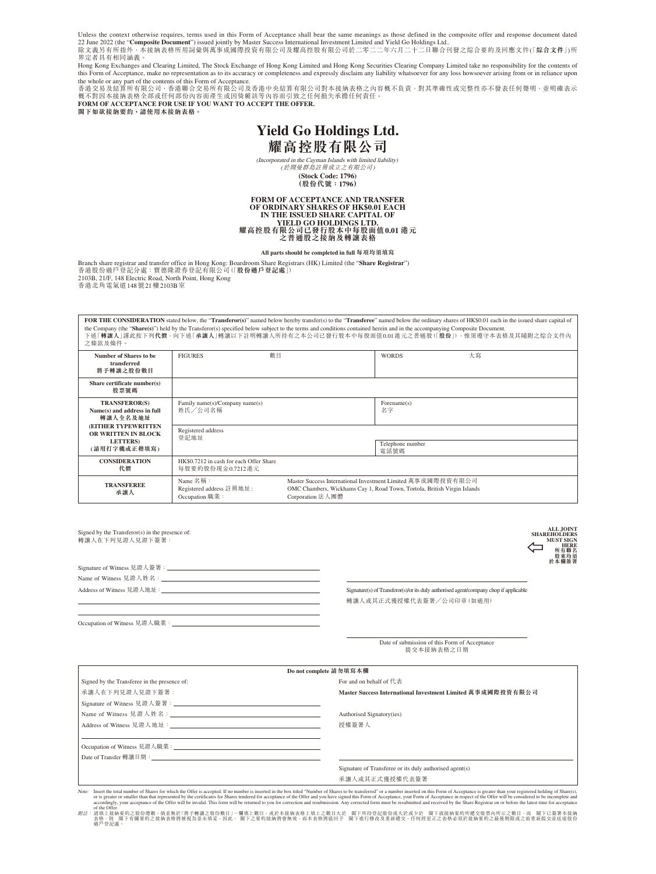Unless the context otherwise requires, terms used in this Form of Acceptance shall bear the same meanings as those defined in the composite offer and response document dated 22 June 2022 (the "**Composite Document**") issued jointly by Master Success International Investment Limited and Yield Go Holdings Ltd..<br>除文義另有所指外,本接納表格所用詞彙與萬事成國際投資有限公司及耀高控股有限公司於二零二二年六月二十二日聯合刊發之綜合要約及回應文件(「**綜合文件**」)所 界定者具有相同涵義。

Hong Kong Exchanges and Clearing Limited, The Stock Exchange of Hong Kong Limited and Hong Kong Securities Clearing Company Limited take no responsibility for the contents of this Form of Acceptance, make no representation as to its accuracy or completeness and expressly disclaim any liability whatsoever for any loss howsoever arising from or in reliance upon

the whole or any part of the contents of this Form of Acceptance.<br>香港交易及結算所有限公司、香港聯合交易所有限公司及香港中央結算有限公司對本接納表格之內容概不負責,對其準確性或完整性亦不發表任何聲明,並明確表示 概不對因本接納表格全部或任何部份內容而產生或因倚賴該等內容而引致之任何損失承擔任何責任。 **FORM OF ACCEPTANCE FOR USE IF YOU WANT TO ACCEPT THE OFFER.**

**閣下如欲接納要約,請使用本接納表格。**



(Incorporated in the Cayman Islands with limited liability) (於開曼群島註冊成立之有限公司)

**(Stock Code: 1796) (股份代號:1796)**

# **FORM OF ACCEPTANCE AND TRANSFER OF ORDINARY SHARES OF HK\$0.01 EACH IN THE ISSUED SHARE CAPITAL OF YIELD GO HOLDINGS LTD. 耀高控股有限公司已發行股本中每股面值0.01 港元 之普通股之接納及轉讓表格**

**All parts should be completed in full 每項均須填寫**

Branch share registrar and transfer office in Hong Kong: Boardroom Share Registrars (HK) Limited (the "**Share Registrar**") 香港股份過戶登記分處:寶德隆證券登記有限公司(「**股份過戶登記處**」) 2103B, 21/F, 148 Electric Road, North Point, Hong Kong 香港北角電氣道148號21樓2103B室

FOR THE CONSIDERATION stated below, the "Transferor(s)" named below hereby transfer(s) to the "Transferee" named below the ordinary shares of HK\$0.01 each in the issued share capital of the Company (the "**Share(s)**") held by the Transferor(s) specified below subject to the terms and conditions contained herein and in the accompanying Composite Document.<br>下述「**轉讓人」**謹此按下列**代價**,向下述「承讓人」轉讓以下註明轉讓人所持有之本公司已發行股本中每股 之條款及條件。

| Number of Shares to be<br>transferred                                                                                                                   | 數目<br><b>FIGURES</b>                                        |                                                                                                                                                             | <b>WORDS</b>             | 大寫 |
|---------------------------------------------------------------------------------------------------------------------------------------------------------|-------------------------------------------------------------|-------------------------------------------------------------------------------------------------------------------------------------------------------------|--------------------------|----|
| 將予轉讓之股份數目                                                                                                                                               |                                                             |                                                                                                                                                             |                          |    |
| Share certificate number(s)<br>股票號碼                                                                                                                     |                                                             |                                                                                                                                                             |                          |    |
| <b>TRANSFEROR(S)</b><br>Name(s) and address in full<br>轉讓人全名及地址<br><b>(EITHER TYPEWRITTEN)</b><br>OR WRITTEN IN BLOCK<br><b>LETTERS</b><br>(請用打字機或正楷填寫) | Family name(s)/Company name(s)<br>姓氏/公司名稱                   |                                                                                                                                                             | Forename(s)<br>名字        |    |
|                                                                                                                                                         | Registered address<br>登記地址                                  |                                                                                                                                                             |                          |    |
|                                                                                                                                                         |                                                             |                                                                                                                                                             | Telephone number<br>電話號碼 |    |
| <b>CONSIDERATION</b><br>代價                                                                                                                              | HK\$0.7212 in cash for each Offer Share<br>每股要約股份現金0.7212港元 |                                                                                                                                                             |                          |    |
| <b>TRANSFEREE</b><br>承讓人                                                                                                                                | Name 名稱:<br>Registered address 註冊地址:<br>Occupation 職業:      | Master Success International Investment Limited 萬事成國際投資有限公司<br>OMC Chambers, Wickhams Cay 1, Road Town, Tortola, British Virgin Islands<br>Corporation 法人團體 |                          |    |

| Signed by the Transferor(s) in the presence of:<br>轉讓人在下列見證人見證下簽署:                                                                                                                                                            | ALL J<br><b>SHAREHOL</b><br><b>MUST</b><br>所<br>股叉                                                                |
|-------------------------------------------------------------------------------------------------------------------------------------------------------------------------------------------------------------------------------|-------------------------------------------------------------------------------------------------------------------|
|                                                                                                                                                                                                                               | 於本相                                                                                                               |
|                                                                                                                                                                                                                               |                                                                                                                   |
| <u> 1989 - Andrea Santa Andrea Andrea Andrea Andrea Andrea Andrea Andrea Andrea Andrea Andrea Andrea Andrea Andr</u>                                                                                                          | Signature(s) of Transferor(s)/or its duly authorised agent/company chop if applicable<br>轉讓人或其正式獲授權代表簽署/公司印章(如適用) |
| the control of the control of the control of the control of the control of the control of the control of the control of the control of the control of the control of the control of the control of the control of the control |                                                                                                                   |
|                                                                                                                                                                                                                               | Date of submission of this Form of Acceptance<br>提交本接納表格之日期                                                       |
|                                                                                                                                                                                                                               | Do not complete 請勿填寫本欄                                                                                            |
| Signed by the Transferee in the presence of:                                                                                                                                                                                  | For and on behalf of $f \ddagger \ddagger$                                                                        |
| 承讓人在下列見證人見證下簽署:                                                                                                                                                                                                               | Master Success International Investment Limited 萬事成國際投資有限公司                                                       |
|                                                                                                                                                                                                                               |                                                                                                                   |
|                                                                                                                                                                                                                               | Authorised Signatory(ies)                                                                                         |
|                                                                                                                                                                                                                               | 授權簽署人                                                                                                             |
|                                                                                                                                                                                                                               |                                                                                                                   |
|                                                                                                                                                                                                                               |                                                                                                                   |
|                                                                                                                                                                                                                               | Signature of Transferee or its duly authorised agent(s)                                                           |
|                                                                                                                                                                                                                               | 承讓人或其正式獲授權代表簽署                                                                                                    |

Note: Insert the total number of Shares for which the Offer is accepted. If no number is meeted in the box titled "Number of Shares to be transferred" or a number inserted on this Form of Acceptance is greater than your re of the Offer.

*附註*: 請填上接納要約之股份總數。倘並無於「將予轉讓之股份數目」一欄填上數目,或於本接納表格上填上之數目大於 閣下所持登記股份或大於或少於 閣下就接納要約所遞交股票內所示之數目,而 閣下已簽署本接納<br>表格,則 閣下有關要約之接納表格將被視為並未填妥,因此, 閣下之要約接納將會無效,而本表格將退回予 閣下進行修改及重新遞交。任何經更正之表格必須於接納要約之最後期限或之前重新提交並送建股份<br>過戶登記處。

**ALL JOINT DERS MUST SIGN HERE 所有聯名 股東均須 於本欄簽署**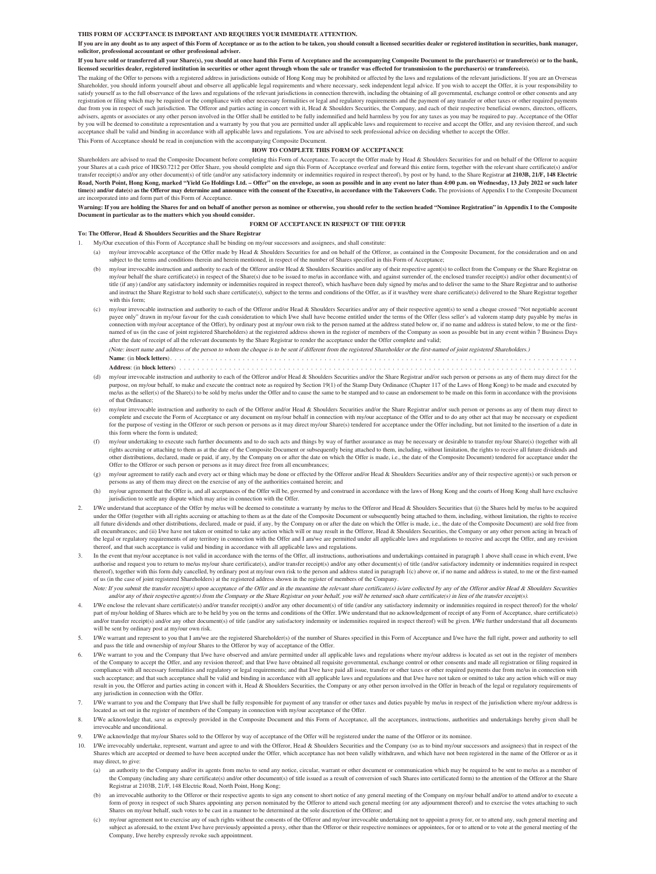#### **THIS FORM OF ACCEPTANCE IS IMPORTANT AND REQUIRES YOUR IMMEDIATE ATTENTION.**

**If you are in any doubt as to any aspect of this Form of Acceptance or as to the action to be taken, you should consult a licensed securities dealer or registered institution in securities, bank manager, solicitor, professional accountant or other professional adviser.**

**If you have sold or transferred all your Share(s), you should at once hand this Form of Acceptance and the accompanying Composite Document to the purchaser(s) or transferee(s) or to the bank, licensed securities dealer, registered institution in securities or other agent through whom the sale or transfer was effected for transmission to the purchaser(s) or transferee(s).**

The making of the Offer to persons with a registered address in jurisdictions outside of Hong Kong may be prohibited or affected by the laws and regulations of the relevant jurisdictions. If you are an Overseas Shareholder, you should inform yourself about and observe all applicable legal requirements and where necessary, seek independent legal advice. If you wish to accept the Offer, it is your responsibility to satisfy yourself as to the full observance of the laws and regulations of the relevant jurisdictions in connection therewith, including the obtaining of all governmental, exchange control or other consents and any registration or filing which may be required or the compliance with other necessary formalities or legal and regulatory requirements and the payment of any transfer or other taxes or other required payments due from you in respect of such jurisdiction. The Offeror and parties acting in concert with it, Head & Shoulders Securities, the Company, and each of their respective beneficial owners, directors, officers, advisers, agents or associates or any other person involved in the Offer shall be entitled to be fully indemnified and held harmless by you for any taxes as you may be required to pay. Acceptance of the Offer shall be enti by you will be deemed to constitute a representation and a warranty by you that you are permitted under all applicable laws and requirement to receive and accept the Offer, and any revision thereof, and such<br>acceptance sha This Form of Acceptance should be read in conjunction with the accompanying Composite Document.

#### **HOW TO COMPLETE THIS FORM OF ACCEPTANCE**

Shareholders are advised to read the Composite Document before completing this Form of Acceptance. To accept the Offer made by Head & Shoulders Securities for and on behalf of the Offeror to acquire your Shares at a cash price of HK\$0.7212 per Offer Share, you should complete and sign this Form of Acceptance overleaf and forward this entire form, together with the relevant share certificate(s) and/or transfer receipt(s) and/or any other document(s) of title (and/or any satisfactory indemnity or indemnities required in respect thereof), by post or by hand, to the Share Registrar **at 2103B, 21/F, 148 Electric Road, North Point, Hong Kong, marked "Yield Go Holdings Ltd. – Offer" on the envelope, as soon as possible and in any event no later than 4:00 p.m. on Wednesday, 13 July 2022 or such later time(s)** and/or date(s) as the Offeror may determine and announce with the consent of the Executive, in accordance with the Takeovers Code. The provisions of Appendix I to the Composite Document are incorporated into and form part of this Form of Acceptance.

Warning: If you are holding the Shares for and on behalf of another person as nominee or otherwise, you should refer to the section headed "Nominee Registration" in Appendix I to the Composite **Document in particular as to the matters which you should consider.**

#### **FORM OF ACCEPTANCE IN RESPECT OF THE OFFER**

#### **To: The Offeror, Head & Shoulders Securities and the Share Registrar**

- 1. My/Our execution of this Form of Acceptance shall be binding on my/our successors and assignees, and shall constitute:
	- (a) my/our irrevocable acceptance of the Offer made by Head & Shoulders Securities for and on behalf of the Offeror, as contained in the Composite Document, for the consideration and on and subject to the terms and conditions therein and herein mentioned, in respect of the number of Shares specified in this Form of Acceptance;
	- (b) my/our irrevocable instruction and authority to each of the Offeror and/or Head & Shoulders Securities and/or any of their respective agent(s) to collect from the Company or the Share Registrar on my/our behalf the share certificate(s) in respect of the Share(s) due to be issued to me/us in accordance with, and against surrender of, the enclosed transfer receipt(s) and/or other document(s) of title (if any) (and/or any satisfactory indemnity or indemnities required in respect thereof), which has/have been duly signed by me/us and to deliver the same to the Share Registrar and to authorise and instruct the Share Registrar to hold such share certificate(s), subject to the terms and conditions of the Offer, as if it was/they were share certificate(s) delivered to the Share Registrar together with this form;
	- (c) my/our irrevocable instruction and authority to each of the Offeror and/or Head & Shoulders Securities and/or any of their respective agent(s) to send a cheque crossed "Not negotiable account payee only" drawn in my/our favour for the cash consideration to which I/we shall have become entitled under the terms of the Offer (less seller's ad valorem stamp duty payable by me/us in connection with my/our acceptance of the Offer), by ordinary post at my/our own risk to the person named at the address stated below or, if no name and address is stated below, to me or the firstned of us (in the case of joint registered Shareholders) at the registered address shown in the register of members of the Company as soon as possible but in any event within 7 Business Days after the date of receipt of all the relevant documents by the Share Registrar to render the acceptance under the Offer complete and valid;

(Note: insert name and address of the person to whom the cheque is to be sent if different from the registered Shareholder or the first-named of joint registered Shareholders.)

**Name**: (in **block letters**). . . . . . . . . . . . . . . . . . . . . . . . . . . . . . . . . . . . . . . . . . . . . . . . . . . . . . . . . . . . . . . . . . . . . . . . . . . . . . . . . . . . . . . . . . **Address**: (in block letters) . .

- (d) my/our irrevocable instruction and authority to each of the Offeror and/or Head & Shoulders Securities and/or the Share Registrar and/or such person or persons as any of them may direct for the purpose, on my/our behalf, to make and execute the contract note as required by Section 19(1) of the Stamp Duty Ordinance (Chapter 117 of the Laws of Hong Kong) to be made and executed by me/us as the seller(s) of the Share(s) to be sold by me/us under the Offer and to cause the same to be stamped and to cause an endorsement to be made on this form in accordance with the provisions of that Ordinance;
- (e) my/our irrevocable instruction and authority to each of the Offeror and/or Head & Shoulders Securities and/or the Share Registrar and/or such person or persons as any of them may direct to complete and execute the Form of Acceptance or any document on my/our behalf in connection with my/our acceptance of the Offer and to do any other act that may be necessary or expedient for the purpose of vesting in the Offeror or such person or persons as it may direct my/our Share(s) tendered for acceptance under the Offer including, but not limited to the insertion of a date in this form where the form is undated;
- (f) my/our undertaking to execute such further documents and to do such acts and things by way of further assurance as may be necessary or desirable to transfer my/our Share(s) (together with all rights accruing or attaching to them as at the date of the Composite Document or subsequently being attached to them, including, without limitation, the rights to receive all future dividends and other distributions, declared, made or paid, if any, by the Company on or after the date on which the Offer is made, i.e., the date of the Composite Document) tendered for acceptance under the Offer to the Offeror or such person or persons as it may direct free from all encumbrances;
- my/our agreement to ratify each and every act or thing which may be done or effected by the Offeror and/or Head & Shoulders Securities and/or any of their respective agent(s) or such person or persons as any of them may direct on the exercise of any of the authorities contained herein; and
- (h) my/our agreement that the Offer is, and all acceptances of the Offer will be, governed by and construed in accordance with the laws of Hong Kong and the courts of Hong Kong shall have exclusive jurisdiction to settle any dispute which may arise in connection with the Offer.
- 2. I/We understand that acceptance of the Offer by me/us will be deemed to constitute a warranty by me/us to the Offeror and Head & Shoulders Securities that (i) the Shares held by me/us to be acquired under the Offer (together with all rights accruing or attaching to them as at the date of the Composite Document or subsequently being attached to them, including, without limitation, the rights to receive all future dividends and other distributions, declared, made or paid, if any, by the Company on or after the date on which the Offer is made, i.e., the date of the Composite Document) are sold free from all encumbrances; and (ii) I/we have not taken or omitted to take any action which will or may result in the Offeror. Head & Shoulders Securities, the Company or any other person acting in breach of the legal or regulatory requirements of any territory in connection with the Offer and I am/we are permitted under all applicable laws and regulations to receive and accept the Offer, and any revision thereof, and that such acceptance is valid and binding in accordance with all applicable laws and regulations.
- In the event that my/our acceptance is not valid in accordance with the terms of the Offer, all instructions, authorisations and undertakings contained in paragraph 1 above shall cease in which event, I/we authorise and request you to return to me/us my/our share certificate(s), and/or transfer receipt(s) and/or any other document(s) of title (and/or satisfactory indemnity or indemnities required in respect thereof), together with this form duly cancelled, by ordinary post at my/our own risk to the person and address stated in paragraph 1(c) above or, if no name and address is stated, to me or the first-named of us (in the case of joint registered Shareholders) at the registered address shown in the register of members of the Company.
	- Note: If you submit the transfer receipt(s) upon acceptance of the Offer and in the meantime the relevant share certificate(s) is/are collected by any of the Offeror and/or Head & Shoulders Securities and/or any of their respective agent(s) from the Company or the Share Registrar on your behalf, you will be returned such share certificate(s) in lieu of the transfer receipt(s).
- 4. I/We enclose the relevant share certificate(s) and/or transfer receipt(s) and/or any other document(s) of title (and/or any satisfactory indemnity or indemnities required in respect thereof) for the whole/ part of my/our holding of Shares which are to be held by you on the terms and conditions of the Offer. I/We understand that no acknowledgement of receipt of any Form of Acceptance, share certificate(s) and/or transfer receipt(s) and/or any other document(s) of title (and/or any satisfactory indemnity or indemnities required in respect thereof) will be given. I/We further understand that all documents will be sent by ordinary post at my/our own risk.
- I/We warrant and represent to you that I am/we are the registered Shareholder(s) of the number of Shares specified in this Form of Acceptance and I/we have the full right, power and authority to sell and pass the title and ownership of my/our Shares to the Offeror by way of acceptance of the Offer.
- I/We warrant to you and the Company that I/we have observed and am/are permitted under all applicable laws and regulations where my/our address is located as set out in the register of members of the Company to accept the Offer, and any revision thereof; and that I/we have obtained all requisite governmental, exchange control or other consents and made all registration or filing required in compliance with all necessary formalities and regulatory or legal requirements; and that I/we have paid all issue, transfer or other taxes or other required payments due from me/us in connection with such acceptance; and that such acceptance shall be valid and binding in accordance with all applicable laws and regulations and that I/we have not taken or omitted to take any action which will or may result in you, the Offeror and parties acting in concert with it. Head & Shoulders Securities, the Company or any other person involved in the Offer in breach of the legal or regulatory requirements of any jurisdiction in connection with the Offer.
- 7. I/We warrant to you and the Company that I/we shall be fully responsible for payment of any transfer or other taxes and duties payable by me/us in respect of the jurisdiction where my/our address is located as set out in the register of members of the Company in connection with my/our acceptance of the Offer.
- I/We acknowledge that, save as expressly provided in the Composite Document and this Form of Acceptance, all the acceptances, instructions, authorities and undertakings hereby given shall be irrevocable and unconditional.
- I/We acknowledge that my/our Shares sold to the Offeror by way of acceptance of the Offer will be registered under the name of the Offeror or its nominee.
- 10. I/We irrevocably undertake, represent, warrant and agree to and with the Offeror, Head & Shoulders Securities and the Company (so as to bind my/our successors and assignees) that in respect of the Shares which are accepted or deemed to have been accepted under the Offer, which acceptance has not been validly withdrawn, and which have not been registered in the name of the Offeror or as it may direct, to give:
	- (a) an authority to the Company and/or its agents from me/us to send any notice, circular, warrant or other document or communication which may be required to be sent to me/us as a member of the Company (including any share certificate(s) and/or other document(s) of title issued as a result of conversion of such Shares into certificated form) to the attention of the Offeror at the Share Registrar at 2103B, 21/F, 148 Electric Road, North Point, Hong Kong;
	- an irrevocable authority to the Offeror or their respective agents to sign any consent to short notice of any general meeting of the Company on my/our behalf and/or to attend and/or to execute a form of proxy in respect of such Shares appointing any person nominated by the Offeror to attend such general meeting (or any adjournment thereof) and to exercise the votes attaching to such Shares on my/our behalf, such votes to be cast in a manner to be determined at the sole discretion of the Offeror; and
	- (c) my/our agreement not to exercise any of such rights without the consents of the Offeror and my/our irrevocable undertaking not to appoint a proxy for, or to attend any, such general meeting and subject as aforesaid, to the extent I/we have previously appointed a proxy, other than the Offeror or their respective nominees or appointees, for or to attend or to vote at the general meeting of the Company, I/we hereby expressly revoke such appointment.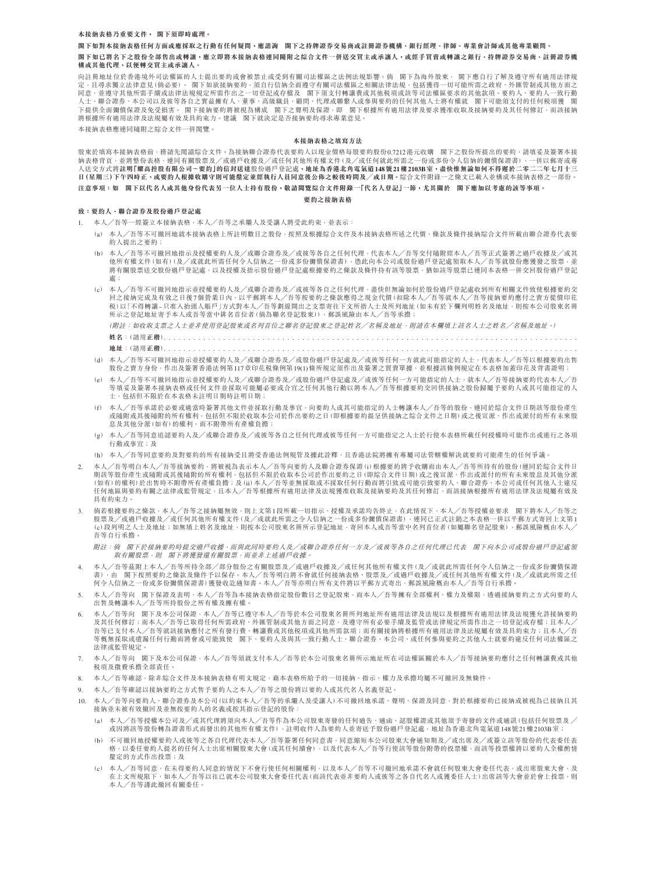#### **本接納表格乃重要文件, 閣下須即時處理。**

#### **閣下如對本接納表格任何方面或應採取之行動有任何疑問,應諮詢 閣下之持牌證券交易商或註冊證券機構、銀行經理、律師、專業會計師或其他專業顧問。**

**閣下如已將名下之股份全部售出或轉讓,應立即將本接納表格連同隨附之綜合文件一併送交買主或承讓人,或經手買賣或轉讓之銀行、持牌證券交易商、註冊證券機 構或其他代理,以便轉交買主或承讓人。**

向註冊地址位於香港境外司法權區的人士提出要約或會被禁止或受到有關司法權區之法例法規影響。倘 閣下為海外股東, 閣下應自行了解及遵守所有適用法律規 定,且尋求獨立法律意見(倘必要)。 閣下如欲接納要約,須自行信納全面遵守有關司法權區之相關法律法規,包括獲得一切可能所需之政府、外匯管制或其他方面之 同意,並遵守其他所需手續或法律法規規定所需作出之一切登記或存檔及 閣下須支付轉讓費或其他稅項或該等司法權區要求的其他款項。要約人、要約人一致行動 人士、聯合證券、本公司以及彼等各自之實益擁有人、董事、高級職員、顧問、代理或聯繫人或參與要約的任何其他人士將有權就 閣下可能須支付的任何稅項獲 閣 下提供全面彌償保證及免受損害。 閣下接納要約將被視為構成 閣下之聲明及保證,即 閣下根據所有適用法律及要求獲准收取及接納要約及其任何修訂,而該接納 將根據所有適用法律及法規屬有效及具約束力。建議 閣下就決定是否接納要約尋求專業意見。

本接納表格應連同隨附之綜合文件一併閱覽。

#### **本接納表格之填寫方法**

股東於填寫本接納表格前,務請先閱讀綜合文件。為接納聯合證券代表要約人以現金價格每股要約股份0.7212港元收購 閣下之股份所提出的要約,請填妥及簽署本接 納表格背頁,並將整份表格,連同有關股票及╱或過戶收據及╱或任何其他所有權文件(及╱或任何就此所需之一份或多份令人信納的彌償保證書),一併以郵寄或專 人送交方式將**註明「耀高控股有限公司-要約」的信封送達**股份過戶登記處**,地址為香港北角電氣道148號21樓2103B室,盡快惟無論如何不得遲於二零二二年七月十三 日(星期三)下午四時正,或要約人根據收購守則可能釐定並經執行人員同意後公佈之較後時間及╱或日期。**綜合文件附錄一之條文已載入並構成本接納表格之一部份。 **注意事項:如 閣下以代名人或其他身份代表另一位人士持有股份,敬請閱覽綜合文件附錄一「代名人登記」一節,尤其關於 閣下應加以考慮的該等事項。**

**要约之接纳表格** 

#### **致:要約人、聯合證券及股份過戶登記處**

- 1. 本人╱吾等一經簽立本接納表格,本人╱吾等之承繼人及受讓人將受此約束,並表示:
	- (a) 本人╱吾等不可撤回地就本接納表格上所註明數目之股份,按照及根據綜合文件及本接納表格所述之代價、條款及條件接納綜合文件所載由聯合證券代表要 約人提出之要約;
	- (b) 本人╱吾等不可撤回地指示及授權要約人及╱或聯合證券及╱或彼等各自之任何代理,代表本人╱吾等交付隨附經本人╱吾等正式簽署之過戶收據及╱或其 他所有權文件(如有)(及/或就此所需任何令人信納之一份或多份彌償保證書),憑此向本公司或股份過戶登記處領取本人/吾等就股份應獲發之股票,並 18.25 年 第2012年 第2012年 第2012年 第2012年 第2012年 第2012年 第2012年 第2012年 第2012年 1月20日 1月20日 1月20日 1月20日 1月20日 1月20日 1月20日 1月20日 1月20日 1月20日 1月20日 1月20日 1月20日 1月20日 1月20日 1月20日 1月20日 1月20日 1月20日 1月20日 1月20日 1月20日 1月20日 1月20日 1月20日 處;
	- (c) 本人╱吾等不可撤回地指示並授權要約人及╱或聯合證券及╱或彼等各自之任何代理,盡快但無論如何於股份過戶登記處收到所有相關文件致使根據要約交 ァヘハロ ☆ 『ホロペコは不識ない』 ☆ 『ホロン ☆ 『ネロンロロロ』 ☆ 『エロ・『ホーロ』 ☆ 『ホーム』 ☆ 『エロ・『ホーム』 ☆ 『キング ☆ 『オン おんごう おんじょう おんじょう おんじょう おんじょう 税)以「不得轉讓–只准入抬頭人賬戶」方式對本人/吾等劃線開出之支票寄往下文所指人士及所列地址(如未有於下欄列明姓名及地址,則按本公司股東名冊 。<br>所示之登記地址寄予本人或吾等當中排名首位者(倘為聯名登記股東)),郵誤風險由本人╱吾等承擔;

(附註:如收取支票之人士並非使用登記股東或名列首位之聯名登記股東之登記姓名╱名稱及地址,則請在本欄填上該名人士之姓名╱名稱及地址。)

- **姓名**:(請用**正楷**). . . . . . . . . . . . . . . . . . . . . . . . . . . . . . . . . . . . . . . . . . . . . . . . . . . . . . . . . . . . . . . . . . . . . . . . . . . . . . . . . . . .
- **地址**:(請用**正楷**). . . . . . . . . . . . . . . . . . . . . . . . . . . . . . . . . . . . . . . . . . . . . . . . . . . . . . . . . . . . . . . . . . . . . . . . . . . . . . . . . . . . (d) 本人╱吾等不可撤回地指示並授權要約人及╱或聯合證券及╱或股份過戶登記處及╱或彼等任何一方就此可能指定的人士,代表本人╱吾等以根據要約出售
- 。<br>「股份之賣方身份,作出及簽署香港法例第117章印花稅條例第19(1)條所規定須作出及簽署之買賣單據,並根據該條例規定在本表格加蓋印花及背書證明;
- (e) 本人╱吾等不可撤回地指示並授權要約人及╱或聯合證券及╱或股份過戶登記處及╱或彼等任何一方可能指定的人士,就本人╱吾等接納要約代表本人╱吾 等填妥及簽署本接納表格或任何文件並採取可能屬必要或合宜之任何其他行動以將本人╱吾等根據要約交回供接納之股份歸屬予要約人或其可能指定的人 士,包括但不限於在本表格未註明日期時註明日期;
- (f) 本人╱吾等承諾於必要或適當時簽署其他文件並採取行動及事宜,向要約人或其可能指定的人士轉讓本人╱吾等的股份,連同於綜合文件日期該等股份產生 或隨附或其後隨附的所有權利,包括但不限於收取本公司於作出要約之日(即根據要約提呈供接納之綜合文件之日期)或之後宣派、作出或派付的所有未來股 息及其他分派(如有)的權利,而不附帶所有產權負擔;
- (g) 本人╱吾等同意追認要約人及╱或聯合證券及╱或彼等各自之任何代理或彼等任何一方可能指定之人士於行使本表格所載任何授權時可能作出或進行之各項 行動或事宜;及
- (h) 本人╱吾等同意要約及對要約的所有接納受且將受香港法例規管及據此詮釋,且香港法院將擁有專屬司法管轄權解決就要約可能產生的任何爭議。
- 2. 本人╱吾等明白本人╱吾等接納要約,將被視為表示本人╱吾等向要約人及聯合證券保證(i)根據要約將予收購而由本人╱吾等所持有的股份(連同於綜合文件日 期該等股份產生或隨附或其後隨附的所有權利,包括但不限於收取本公司於作出要約之日(即綜合文件日期)或之後宣派、作出或派付的所有未來股息及其他分派<br>(如有)的權利)於出售時不附帶所有產權負擔;及(ii)本人/吾等並無採取或不採取任何行動而將引致或可能引致要約人、聯合證券、本公司或任何其他人士違反法規屬有效及 具有約束力。
- 尚若根據要約之條款,本人╱吾等之接納屬無效,則上文第1段所載一切指示、授權及承諾均告終止,在此情況下,本人╱吾等權並要求 閣下將本人╱吾等之 股票及╱或過戶收據及╱或任何其他所有權文件(及╱或就此所需之令人信納之一份或多份彌償保證書),連同已正式註銷之本表格一併以平郵方式寄回上文第1 (c)段列明之人士及地址;如無填上姓名及地址,則按本公司股東名冊所示登記地址,寄回本人或吾等當中名列首位者(如屬聯名登記股東),郵誤風險概由本人 吾等自行承擔。
	- 附註:倘 閣下於接納要約時提交過戶收據,而與此同時要約人及╱或聯合證券任何一方及╱或彼等各自之任何代理已代表 閣下向本公司或股份過戶登記處領 取有關股票,則 閣下將獲發還有關股票,而並非上述過戶收據。
- 4. 本人╱吾等茲附上本人╱吾等所持全部╱部分股份之有關股票及╱或過戶收據及╱或任何其他所有權文件(及╱或就此所需任何令人信納之一份或多份彌償保證 書),由 閣下按照要約之條款及條件予以保存。本人╱吾等明白將不會就任何接納表格、股票及╱或過戶收據及╱或任何其他所有權文件(及╱或就此所需之任 何令人信納之一份或多份彌償保證書)獲發收訖通知書。本人╱吾等亦明白所有文件將以平郵方式寄出,郵誤風險概由本人╱吾等自行承擔。
- 5. 本人╱吾等向 閣下保證及表明,本人╱吾等為本接納表格指定股份數目之登記股東,而本人╱吾等擁有全部權利、權力及權限,透過接納要約之方式向要約人 出售及轉讓本人╱吾等所持股份之所有權及擁有權。
- 本人╱吾等向 閣下及本公司保證,本人╱吾等已遵守本人╱吾等於本公司股東名冊所列地址所有適用法律及法規以及根據所有適用法律及法規獲允許接納要約 及其任何修訂;而本人/吾等已取得任何所需政府、外匯管制或其他方面之同意,及遵守所有必要手續及監管或法律規定所需作出之一切登記或存檔;且本人 吾等已支付本人╱吾等就該接納應付之所有發行費、轉讓費或其他稅項或其他所需款項;而有關接納將根據所有適用法律及法規屬有效及具約束力;且本人╱吾 等概無採取或遺漏任何行動而將會或可能致使 閣下、要約人及與其一致行動人士、聯合證券、本公司、或任何參與要約之其他人士就要約違反任何司法權區之 法律或監管規定。
- 7. 本人╱吾等向 閣下及本公司保證,本人╱吾等須就支付本人╱吾等於本公司股東名冊所示地址所在司法權區關於本人╱吾等接納要約應付之任何轉讓費或其他 稅項及徵費承擔全部責任。
- 8. 本人╱吾等確認,除非綜合文件及本接納表格有明文規定,藉本表格所給予的一切接納、指示、權力及承擔均屬不可撤回及無條件。
- 9. 本人╱吾等確認以接納要約之方式售予要約人之本人╱吾等之股份將以要約人或其代名人名義登記。
- 10. 本人╱吾等向要約人、聯合證券及本公司(以約束本人╱吾等的承繼人及受讓人)不可撤回地承諾、聲明、保證及同意,對於根據要約已接納或被視為已接納且其 接納並未被有效撤回及並無按要約人的名義或按其指示登記的股份:
	- (a) 本人╱吾等授權本公司及╱或其代理將須向本人╱吾等作為本公司股東寄發的任何通告、通函、認股權證或其他須予寄發的文件或通訊(包括任何股票及 ╱ 或因將該等股份轉為證書形式而發出的其他所有權文件),註明收件人為要約人並寄送予股份過戶登記處,地址為香港北角電氣道148號21樓2103B室;
	- (b) 不可撤回地授權要約人或彼等之各自代理代表本人╱吾等簽署任何同意書,同意縮短本公司股東大會通知期及╱或出席及╱或簽立該等股份的代表委任表 格,以委任要約人提名的任何人士出席相關股東大會(或其任何續會),以及代表本人╱吾等行使該等股份附帶的投票權,而該等投票權將以要約人全權酌情 釐定的方式作出投票;及
	- (c) 本人╱吾等同意,在未得要約人同意的情況下不會行使任何相關權利,以及本人╱吾等不可撤回地承諾不會就任何股東大會委任代表,或出席股東大會,及 在上文所規限下,如本人╱吾等以往已就本公司股東大會委任代表(而該代表並非要約人或彼等之各自代名人或獲委任人士)出席該等大會並於會上投票,則 本人╱吾等謹此撤回有關委任。